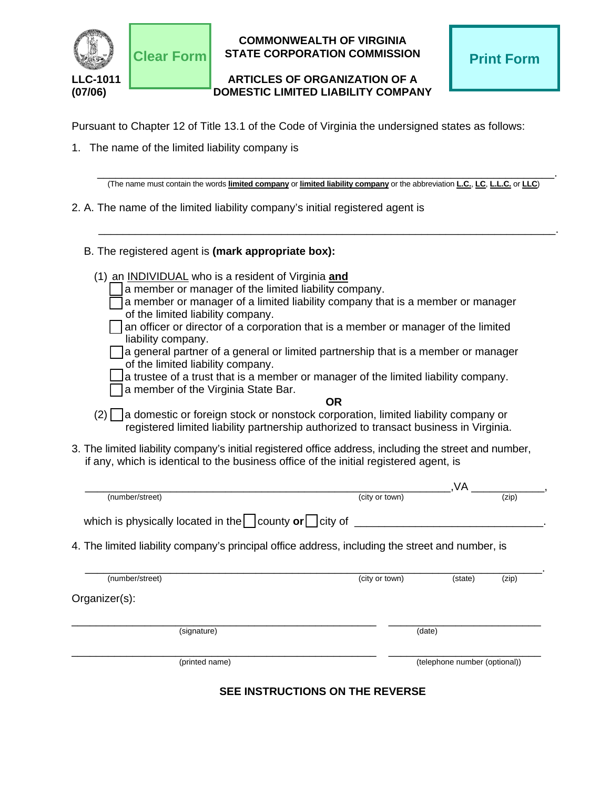

## **COMMONWEALTH OF VIRGINIA STATE CORPORATION COMMISSION Clear Form Print Form**

## **LLC-1011 ARTICLES OF ORGANIZATION OF A (07/06) DOMESTIC LIMITED LIABILITY COMPANY**

Pursuant to Chapter 12 of Title 13.1 of the Code of Virginia the undersigned states as follows:

1. The name of the limited liability company is

(The name must contain the words limited company or limited liability company or the abbreviation L.C., L.C., L.L.C. or LLC)

\_\_\_\_\_\_\_\_\_\_\_\_\_\_\_\_\_\_\_\_\_\_\_\_\_\_\_\_\_\_\_\_\_\_\_\_\_\_\_\_\_\_\_\_\_\_\_\_\_\_\_\_\_\_\_\_\_\_\_\_\_\_\_\_\_\_\_\_\_\_\_\_\_\_\_.

- 2. A. The name of the limited liability company's initial registered agent is
	- B. The registered agent is **(mark appropriate box):**
		- (1) an INDIVIDUAL who is a resident of Virginia **and**
			- a member or manager of the limited liability company.
			- a member or manager of a limited liability company that is a member or manager of the limited liability company.
			- an officer or director of a corporation that is a member or manager of the limited liability company.
			- $\Box$ a general partner of a general or limited partnership that is a member or manager of the limited liability company.
				- a trustee of a trust that is a member or manager of the limited liability company. a member of the Virginia State Bar.
					-
- **OR**
- $(2)$  a domestic or foreign stock or nonstock corporation, limited liability company or registered limited liability partnership authorized to transact business in Virginia.
- 3. The limited liability company's initial registered office address, including the street and number, if any, which is identical to the business office of the initial registered agent, is

| (number/street)                                                                                  | (city or town) | (zip) |
|--------------------------------------------------------------------------------------------------|----------------|-------|
| which is physically located in the $\vert$ county or $\vert$ city of                             |                |       |
| 4. The limited liability company's principal office address, including the street and number, is |                |       |

| (number/street) | (city or town) | (state) | (zip) |
|-----------------|----------------|---------|-------|
| Organizer(s):   |                |         |       |
| (signature)     | (date)         |         |       |
|                 |                |         |       |

**SEE INSTRUCTIONS ON THE REVERSE**